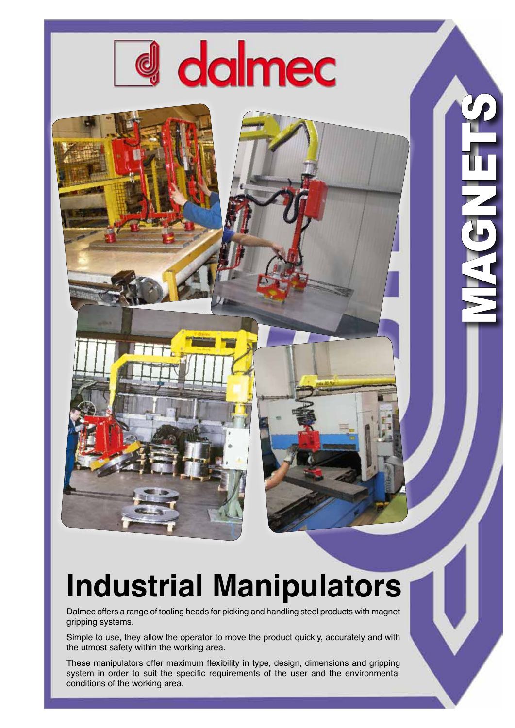

## **Industrial Manipulators**

<u>1</u>

MAGNETS

Dalmec offers a range of tooling heads for picking and handling steel products with magnet gripping systems.

Simple to use, they allow the operator to move the product quickly, accurately and with the utmost safety within the working area.

These manipulators offer maximum flexibility in type, design, dimensions and gripping system in order to suit the specific requirements of the user and the environmental conditions of the working area.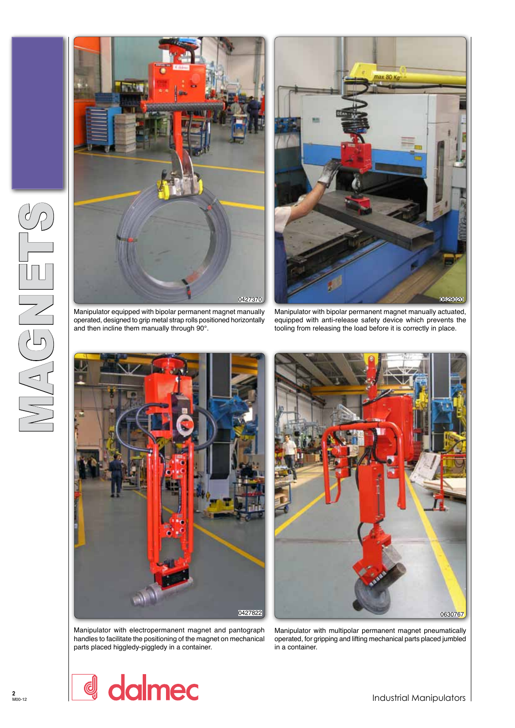





Manipulator with bipolar permanent magnet manually actuated, equipped with anti-release safety device which prevents the tooling from releasing the load before it is correctly in place.





Manipulator with electropermanent magnet and pantograph handles to facilitate the positioning of the magnet on mechanical parts placed higgledy-piggledy in a container.

Manipulator with multipolar permanent magnet pneumatically operated, for gripping and lifting mechanical parts placed jumbled in a container.

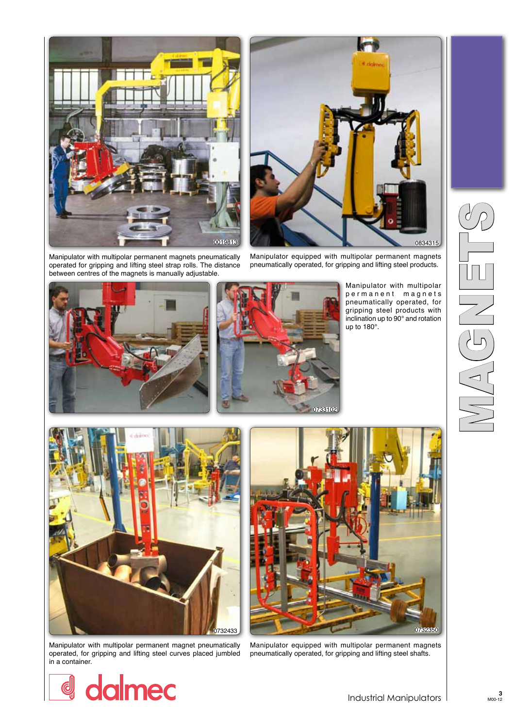

0019813 0834315

Manipulator with multipolar permanent magnets pneumatically operated for gripping and lifting steel strap rolls. The distance between centres of the magnets is manually adjustable.

Manipulator equipped with multipolar permanent magnets pneumatically operated, for gripping and lifting steel products.





Manipulator with multipolar permanent magnets pneumatically operated, for gripping steel products with inclination up to 90° and rotation up to 180°.



Manipulator with multipolar permanent magnet pneumatically operated, for gripping and lifting steel curves placed jumbled in a container.



Manipulator equipped with multipolar permanent magnets pneumatically operated, for gripping and lifting steel shafts.